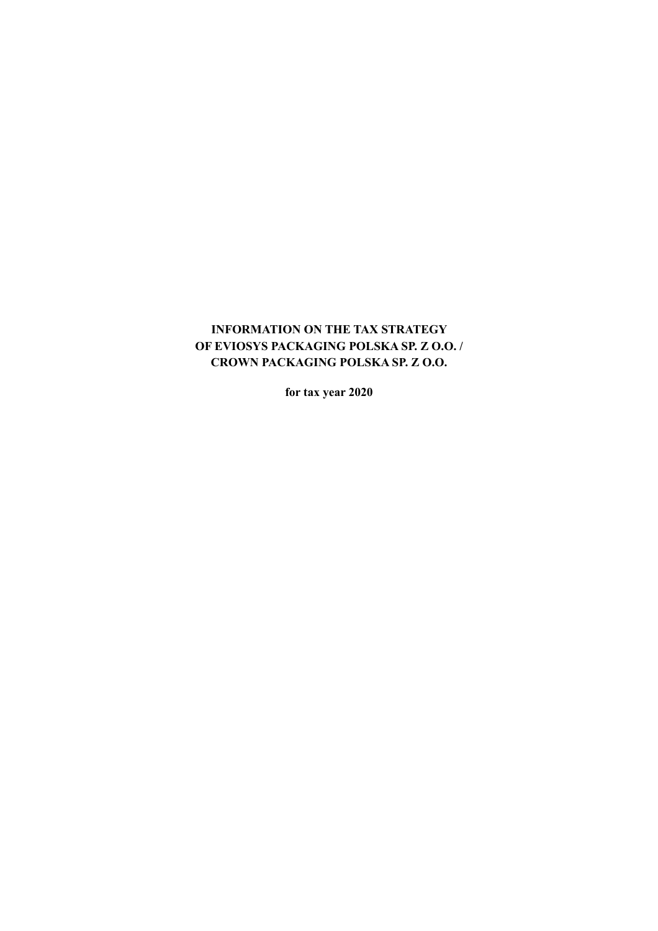## **INFORMATION ON THE TAX STRATEGY OF EVIOSYS PACKAGING POLSKA SP. Z O.O. / CROWN PACKAGING POLSKA SP. Z O.O.**

**for tax year 2020**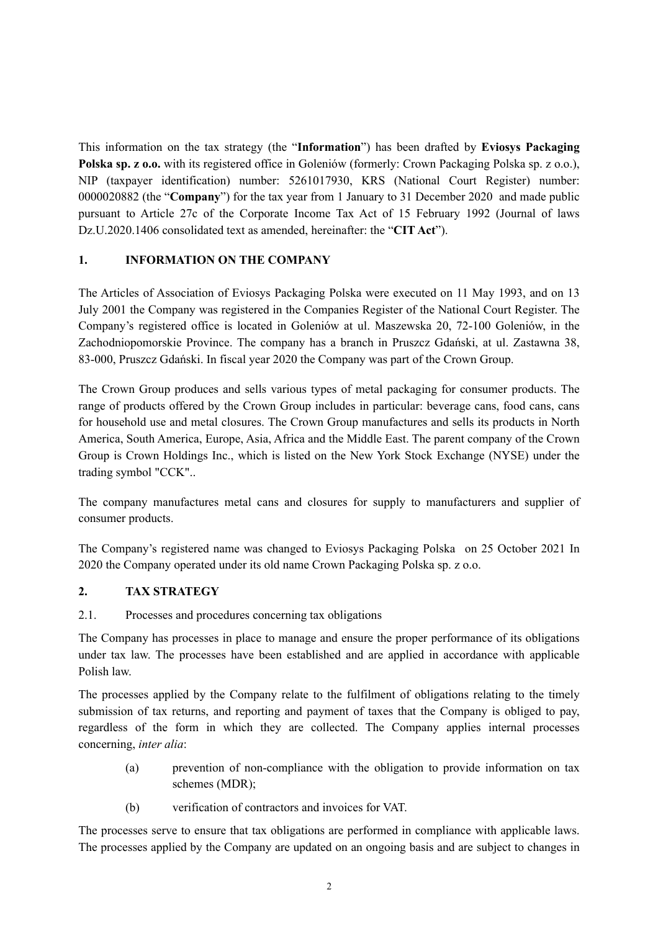This information on the tax strategy (the "**Information**") has been drafted by **Eviosys Packaging Polska sp. z o.o.** with its registered office in Goleniów (formerly: Crown Packaging Polska sp. z o.o.), NIP (taxpayer identification) number: 5261017930, KRS (National Court Register) number: 0000020882 (the "**Company**") for the tax year from 1 January to 31 December 2020 and made public pursuant to Article 27c of the Corporate Income Tax Act of 15 February 1992 (Journal of laws Dz.U.2020.1406 consolidated text as amended, hereinafter: the "**CIT Act**").

#### **1. INFORMATION ON THE COMPANY**

The Articles of Association of Eviosys Packaging Polska were executed on 11 May 1993, and on 13 July 2001 the Company was registered in the Companies Register of the National Court Register. The Company's registered office is located in Goleniów at ul. Maszewska 20, 72-100 Goleniów, in the Zachodniopomorskie Province. The company has a branch in Pruszcz Gdański, at ul. Zastawna 38, 83-000, Pruszcz Gdański. In fiscal year 2020 the Company was part of the Crown Group.

The Crown Group produces and sells various types of metal packaging for consumer products. The range of products offered by the Crown Group includes in particular: beverage cans, food cans, cans for household use and metal closures. The Crown Group manufactures and sells its products in North America, South America, Europe, Asia, Africa and the Middle East. The parent company of the Crown Group is Crown Holdings Inc., which is listed on the New York Stock Exchange (NYSE) under the trading symbol "CCK"..

The company manufactures metal cans and closures for supply to manufacturers and supplier of consumer products.

The Company's registered name was changed to Eviosys Packaging Polska on 25 October 2021 In 2020 the Company operated under its old name Crown Packaging Polska sp. z o.o.

#### **2. TAX STRATEGY**

#### 2.1. Processes and procedures concerning tax obligations

The Company has processes in place to manage and ensure the proper performance of its obligations under tax law. The processes have been established and are applied in accordance with applicable Polish law.

The processes applied by the Company relate to the fulfilment of obligations relating to the timely submission of tax returns, and reporting and payment of taxes that the Company is obliged to pay, regardless of the form in which they are collected. The Company applies internal processes concerning, *inter alia*:

- (a) prevention of non-compliance with the obligation to provide information on tax schemes (MDR);
- (b) verification of contractors and invoices for VAT.

The processes serve to ensure that tax obligations are performed in compliance with applicable laws. The processes applied by the Company are updated on an ongoing basis and are subject to changes in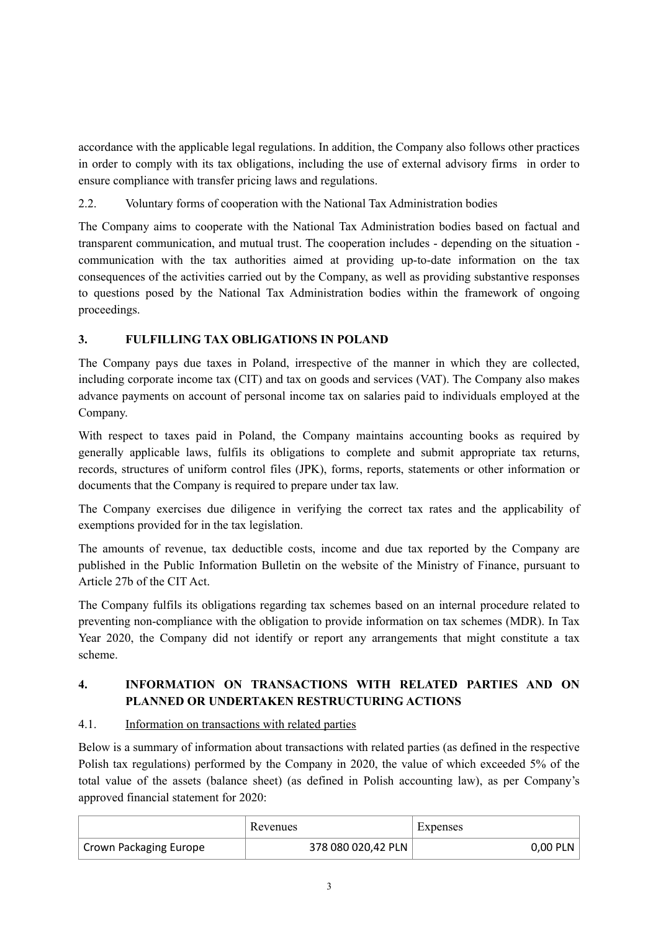accordance with the applicable legal regulations. In addition, the Company also follows other practices in order to comply with its tax obligations, including the use of external advisory firms in order to ensure compliance with transfer pricing laws and regulations.

2.2. Voluntary forms of cooperation with the National Tax Administration bodies

The Company aims to cooperate with the National Tax Administration bodies based on factual and transparent communication, and mutual trust. The cooperation includes - depending on the situation communication with the tax authorities aimed at providing up-to-date information on the tax consequences of the activities carried out by the Company, as well as providing substantive responses to questions posed by the National Tax Administration bodies within the framework of ongoing proceedings.

# **3. FULFILLING TAX OBLIGATIONS IN POLAND**

The Company pays due taxes in Poland, irrespective of the manner in which they are collected, including corporate income tax (CIT) and tax on goods and services (VAT). The Company also makes advance payments on account of personal income tax on salaries paid to individuals employed at the Company.

With respect to taxes paid in Poland, the Company maintains accounting books as required by generally applicable laws, fulfils its obligations to complete and submit appropriate tax returns, records, structures of uniform control files (JPK), forms, reports, statements or other information or documents that the Company is required to prepare under tax law.

The Company exercises due diligence in verifying the correct tax rates and the applicability of exemptions provided for in the tax legislation.

The amounts of revenue, tax deductible costs, income and due tax reported by the Company are published in the Public Information Bulletin on the website of the Ministry of Finance, pursuant to Article 27b of the CIT Act.

The Company fulfils its obligations regarding tax schemes based on an internal procedure related to preventing non-compliance with the obligation to provide information on tax schemes (MDR). In Tax Year 2020, the Company did not identify or report any arrangements that might constitute a tax scheme.

## **4. INFORMATION ON TRANSACTIONS WITH RELATED PARTIES AND ON PLANNED OR UNDERTAKEN RESTRUCTURING ACTIONS**

### 4.1. Information on transactions with related parties

Below is a summary of information about transactions with related parties (as defined in the respective Polish tax regulations) performed by the Company in 2020, the value of which exceeded 5% of the total value of the assets (balance sheet) (as defined in Polish accounting law), as per Company's approved financial statement for 2020:

|                               | Revenues           | Expenses |
|-------------------------------|--------------------|----------|
| <b>Crown Packaging Europe</b> | 378 080 020,42 PLN | 0,00 PLN |